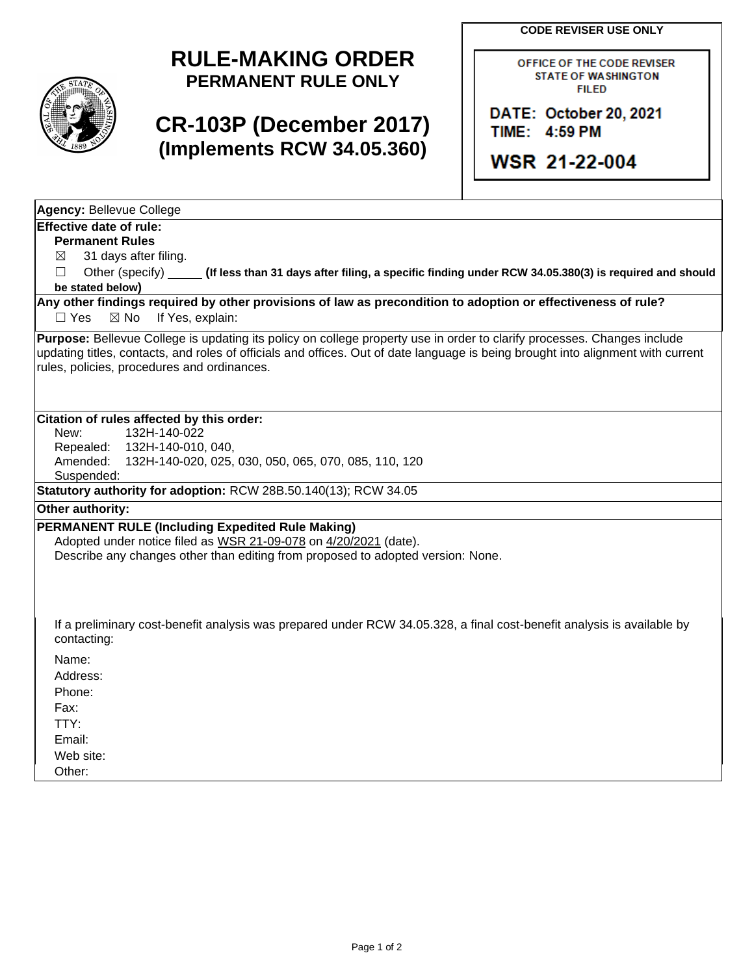**CODE REVISER USE ONLY**



## **RULE-MAKING ORDER PERMANENT RULE ONLY**

## **CR-103P (December 2017) (Implements RCW 34.05.360)**

OFFICE OF THE CODE REVISER **STATE OF WASHINGTON FILED** 

DATE: October 20, 2021 TIME: 4:59 PM

**WSR 21-22-004** 

**Agency:** Bellevue College

## **Effective date of rule:**

**Permanent Rules**

 $\boxtimes$  31 days after filing.

☐ Other (specify) **(If less than 31 days after filing, a specific finding under RCW 34.05.380(3) is required and should be stated below)**

**Any other findings required by other provisions of law as precondition to adoption or effectiveness of rule?** □ Yes ⊠ No If Yes, explain:

**Purpose:** Bellevue College is updating its policy on college property use in order to clarify processes. Changes include updating titles, contacts, and roles of officials and offices. Out of date language is being brought into alignment with current rules, policies, procedures and ordinances.

## **Citation of rules affected by this order:**

| New:             | 132H-140-022                                                                                                           |
|------------------|------------------------------------------------------------------------------------------------------------------------|
|                  | Repealed: 132H-140-010, 040,                                                                                           |
| Amended:         | 132H-140-020, 025, 030, 050, 065, 070, 085, 110, 120                                                                   |
| Suspended:       |                                                                                                                        |
|                  | Statutory authority for adoption: RCW 28B.50.140(13); RCW 34.05                                                        |
| Other authority: |                                                                                                                        |
|                  | PERMANENT RULE (Including Expedited Rule Making)                                                                       |
|                  | Adopted under notice filed as WSR 21-09-078 on 4/20/2021 (date).                                                       |
|                  | Describe any changes other than editing from proposed to adopted version: None.                                        |
|                  |                                                                                                                        |
|                  |                                                                                                                        |
|                  |                                                                                                                        |
|                  | If a preliminary cost-benefit analysis was prepared under RCW 34.05.328, a final cost-benefit analysis is available by |
| contacting:      |                                                                                                                        |
| Name:            |                                                                                                                        |
| Address:         |                                                                                                                        |
| Phone:           |                                                                                                                        |
| Fax:             |                                                                                                                        |
| TTY:             |                                                                                                                        |
| Email:           |                                                                                                                        |
| Web site:        |                                                                                                                        |

Other: